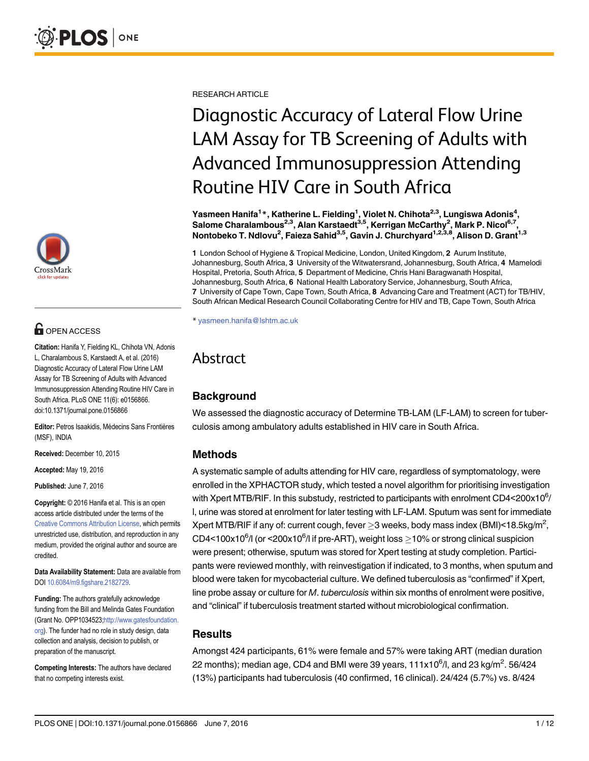

# **OPEN ACCESS**

Citation: Hanifa Y, Fielding KL, Chihota VN, Adonis L, Charalambous S, Karstaedt A, et al. (2016) Diagnostic Accuracy of Lateral Flow Urine LAM Assay for TB Screening of Adults with Advanced Immunosuppression Attending Routine HIV Care in South Africa. PLoS ONE 11(6): e0156866. doi:10.1371/journal.pone.0156866

Editor: Petros Isaakidis, Médecins Sans Frontières (MSF), INDIA

Received: December 10, 2015

Accepted: May 19, 2016

Published: June 7, 2016

Copyright: © 2016 Hanifa et al. This is an open access article distributed under the terms of the [Creative Commons Attribution License,](http://creativecommons.org/licenses/by/4.0/) which permits unrestricted use, distribution, and reproduction in any medium, provided the original author and source are credited.

Data Availability Statement: Data are available from DOI [10.6084/m9.figshare.2182729.](http://dx.doi.org/10.6084/m9.figshare.2182729)

Funding: The authors gratefully acknowledge funding from the Bill and Melinda Gates Foundation (Grant No. OPP1034523;[http://www.gatesfoundation.](http://www.gatesfoundation.org) [org](http://www.gatesfoundation.org)). The funder had no role in study design, data collection and analysis, decision to publish, or preparation of the manuscript.

Competing Interests: The authors have declared that no competing interests exist.

RESEARCH ARTICLE

# Diagnostic Accuracy of Lateral Flow Urine LAM Assay for TB Screening of Adults with Advanced Immunosuppression Attending Routine HIV Care in South Africa

Yasmeen Hanifa<sup>1</sup>\*, Katherine L. Fielding<sup>1</sup>, Violet N. Chihota<sup>2,3</sup>, Lungiswa Adonis<sup>4</sup>, Salome Charalambous<sup>2,3</sup>, Alan Karstaedt<sup>3,5</sup>, Kerrigan McCarthy<sup>2</sup>, Mark P. Nicol<sup>6,7</sup>, Nontobeko T. Ndlovu<sup>2</sup>, Faieza Sahid<sup>3,5</sup>, Gavin J. Churchyard<sup>1,2,3,8</sup>, Alison D. Grant<sup>1,3</sup>

1 London School of Hygiene & Tropical Medicine, London, United Kingdom, 2 Aurum Institute, Johannesburg, South Africa, 3 University of the Witwatersrand, Johannesburg, South Africa, 4 Mamelodi Hospital, Pretoria, South Africa, 5 Department of Medicine, Chris Hani Baragwanath Hospital, Johannesburg, South Africa, 6 National Health Laboratory Service, Johannesburg, South Africa, 7 University of Cape Town, Cape Town, South Africa, 8 Advancing Care and Treatment (ACT) for TB/HIV, South African Medical Research Council Collaborating Centre for HIV and TB, Cape Town, South Africa

\* yasmeen.hanifa@lshtm.ac.uk

## Abstract

## **Background**

We assessed the diagnostic accuracy of Determine TB-LAM (LF-LAM) to screen for tuberculosis among ambulatory adults established in HIV care in South Africa.

#### Methods

A systematic sample of adults attending for HIV care, regardless of symptomatology, were enrolled in the XPHACTOR study, which tested a novel algorithm for prioritising investigation with Xpert MTB/RIF. In this substudy, restricted to participants with enrolment CD4<200x10 $^6$ / l, urine was stored at enrolment for later testing with LF-LAM. Sputum was sent for immediate Xpert MTB/RIF if any of: current cough, fever  ${\geq}3$  weeks, body mass index (BMI)<18.5kg/m<sup>2</sup>, CD4<100x10<sup>6</sup>/l (or <200x10<sup>6</sup>/l if pre-ART), weight loss  $\geq$ 10% or strong clinical suspicion were present; otherwise, sputum was stored for Xpert testing at study completion. Participants were reviewed monthly, with reinvestigation if indicated, to 3 months, when sputum and blood were taken for mycobacterial culture. We defined tuberculosis as "confirmed" if Xpert, line probe assay or culture for M. tuberculosis within six months of enrolment were positive, and "clinical" if tuberculosis treatment started without microbiological confirmation.

#### **Results**

Amongst 424 participants, 61% were female and 57% were taking ART (median duration 22 months); median age, CD4 and BMI were 39 years, 111x10 $^{\rm 6}$ /I, and 23 kg/m $^2$ . 56/424 (13%) participants had tuberculosis (40 confirmed, 16 clinical). 24/424 (5.7%) vs. 8/424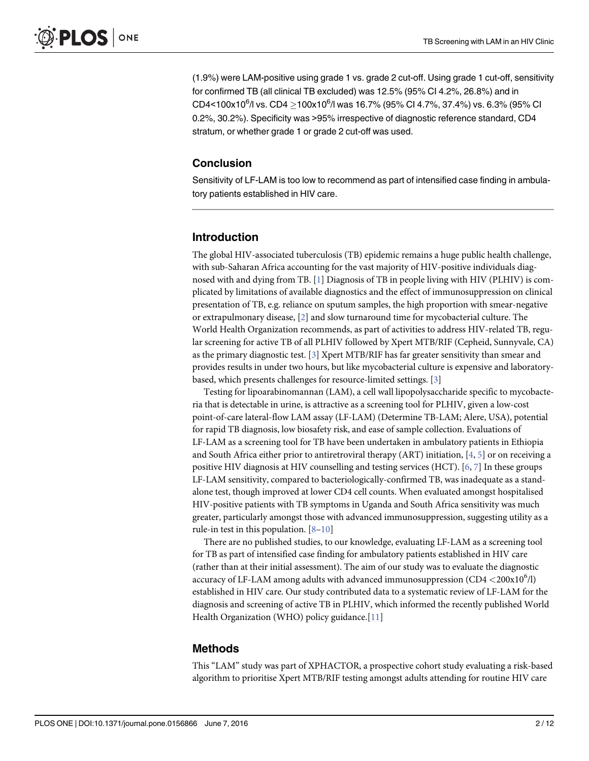<span id="page-1-0"></span>(1.9%) were LAM-positive using grade 1 vs. grade 2 cut-off. Using grade 1 cut-off, sensitivity for confirmed TB (all clinical TB excluded) was 12.5% (95% CI 4.2%, 26.8%) and in  $CD4<$ 100x10 $^{6}$ /l vs. CD4  $\geq$ 100x10 $^{6}$ /l was 16.7% (95% CI 4.7%, 37.4%) vs. 6.3% (95% CI 0.2%, 30.2%). Specificity was >95% irrespective of diagnostic reference standard, CD4 stratum, or whether grade 1 or grade 2 cut-off was used.

#### **Conclusion**

Sensitivity of LF-LAM is too low to recommend as part of intensified case finding in ambulatory patients established in HIV care.

#### Introduction

The global HIV-associated tuberculosis (TB) epidemic remains a huge public health challenge, with sub-Saharan Africa accounting for the vast majority of HIV-positive individuals diagnosed with and dying from TB. [\[1\]](#page-10-0) Diagnosis of TB in people living with HIV (PLHIV) is complicated by limitations of available diagnostics and the effect of immunosuppression on clinical presentation of TB, e.g. reliance on sputum samples, the high proportion with smear-negative or extrapulmonary disease, [[2\]](#page-10-0) and slow turnaround time for mycobacterial culture. The World Health Organization recommends, as part of activities to address HIV-related TB, regular screening for active TB of all PLHIV followed by Xpert MTB/RIF (Cepheid, Sunnyvale, CA) as the primary diagnostic test. [[3\]](#page-10-0) Xpert MTB/RIF has far greater sensitivity than smear and provides results in under two hours, but like mycobacterial culture is expensive and laboratorybased, which presents challenges for resource-limited settings. [[3\]](#page-10-0)

Testing for lipoarabinomannan (LAM), a cell wall lipopolysaccharide specific to mycobacteria that is detectable in urine, is attractive as a screening tool for PLHIV, given a low-cost point-of-care lateral-flow LAM assay (LF-LAM) (Determine TB-LAM; Alere, USA), potential for rapid TB diagnosis, low biosafety risk, and ease of sample collection. Evaluations of LF-LAM as a screening tool for TB have been undertaken in ambulatory patients in Ethiopia and South Africa either prior to antiretroviral therapy (ART) initiation,  $[4, 5]$  $[4, 5]$  $[4, 5]$  $[4, 5]$  or on receiving a positive HIV diagnosis at HIV counselling and testing services (HCT). [\[6](#page-10-0), [7](#page-10-0)] In these groups LF-LAM sensitivity, compared to bacteriologically-confirmed TB, was inadequate as a standalone test, though improved at lower CD4 cell counts. When evaluated amongst hospitalised HIV-positive patients with TB symptoms in Uganda and South Africa sensitivity was much greater, particularly amongst those with advanced immunosuppression, suggesting utility as a rule-in test in this population. [[8](#page-10-0)–[10](#page-11-0)]

There are no published studies, to our knowledge, evaluating LF-LAM as a screening tool for TB as part of intensified case finding for ambulatory patients established in HIV care (rather than at their initial assessment). The aim of our study was to evaluate the diagnostic accuracy of LF-LAM among adults with advanced immunosuppression (CD4  $<$  200 $\rm{x}10^6$ /l) established in HIV care. Our study contributed data to a systematic review of LF-LAM for the diagnosis and screening of active TB in PLHIV, which informed the recently published World Health Organization (WHO) policy guidance. $[11]$  $[11]$  $[11]$ 

#### Methods

This "LAM" study was part of XPHACTOR, a prospective cohort study evaluating a risk-based algorithm to prioritise Xpert MTB/RIF testing amongst adults attending for routine HIV care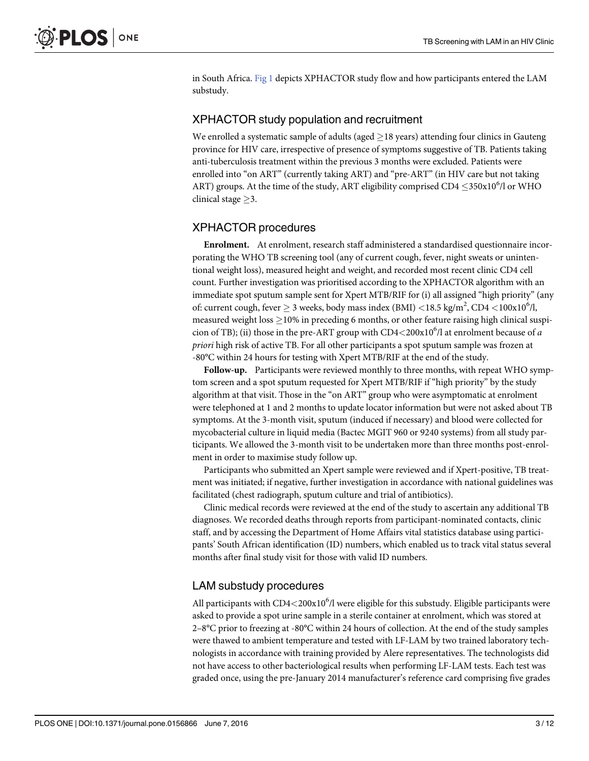<span id="page-2-0"></span>in South Africa. [Fig 1](#page-3-0) depicts XPHACTOR study flow and how participants entered the LAM substudy.

#### XPHACTOR study population and recruitment

We enrolled a systematic sample of adults (aged  $\geq$  18 years) attending four clinics in Gauteng province for HIV care, irrespective of presence of symptoms suggestive of TB. Patients taking anti-tuberculosis treatment within the previous 3 months were excluded. Patients were enrolled into "on ART" (currently taking ART) and "pre-ART" (in HIV care but not taking ART) groups. At the time of the study, ART eligibility comprised CD4  $\leq$  350x10<sup>6</sup>/l or WHO clinical stage  $\geq$ 3.

#### XPHACTOR procedures

Enrolment. At enrolment, research staff administered a standardised questionnaire incorporating the WHO TB screening tool (any of current cough, fever, night sweats or unintentional weight loss), measured height and weight, and recorded most recent clinic CD4 cell count. Further investigation was prioritised according to the XPHACTOR algorithm with an immediate spot sputum sample sent for Xpert MTB/RIF for (i) all assigned "high priority" (any of: current cough, fever  $\geq$  3 weeks, body mass index (BMI) <18.5 kg/m<sup>2</sup>, CD4 <100x10<sup>6</sup>/l, measured weight loss  $\geq$  10% in preceding 6 months, or other feature raising high clinical suspicion of TB); (ii) those in the pre-ART group with  $CD4<200x10^6$ /l at enrolment because of a priori high risk of active TB. For all other participants a spot sputum sample was frozen at -80°C within 24 hours for testing with Xpert MTB/RIF at the end of the study.

Follow-up. Participants were reviewed monthly to three months, with repeat WHO symptom screen and a spot sputum requested for Xpert MTB/RIF if "high priority" by the study algorithm at that visit. Those in the "on ART" group who were asymptomatic at enrolment were telephoned at 1 and 2 months to update locator information but were not asked about TB symptoms. At the 3-month visit, sputum (induced if necessary) and blood were collected for mycobacterial culture in liquid media (Bactec MGIT 960 or 9240 systems) from all study participants. We allowed the 3-month visit to be undertaken more than three months post-enrolment in order to maximise study follow up.

Participants who submitted an Xpert sample were reviewed and if Xpert-positive, TB treatment was initiated; if negative, further investigation in accordance with national guidelines was facilitated (chest radiograph, sputum culture and trial of antibiotics).

Clinic medical records were reviewed at the end of the study to ascertain any additional TB diagnoses. We recorded deaths through reports from participant-nominated contacts, clinic staff, and by accessing the Department of Home Affairs vital statistics database using participants' South African identification (ID) numbers, which enabled us to track vital status several months after final study visit for those with valid ID numbers.

#### LAM substudy procedures

All participants with  $CD4<200x10<sup>6</sup>/l$  were eligible for this substudy. Eligible participants were asked to provide a spot urine sample in a sterile container at enrolment, which was stored at 2–8°C prior to freezing at -80°C within 24 hours of collection. At the end of the study samples were thawed to ambient temperature and tested with LF-LAM by two trained laboratory technologists in accordance with training provided by Alere representatives. The technologists did not have access to other bacteriological results when performing LF-LAM tests. Each test was graded once, using the pre-January 2014 manufacturer's reference card comprising five grades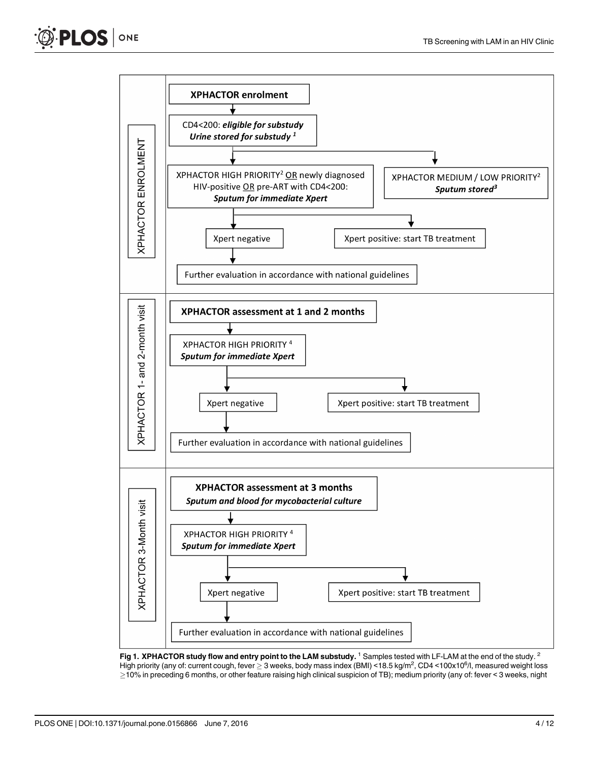<span id="page-3-0"></span>



[Fig 1.](#page-2-0) XPHACTOR study flow and entry point to the LAM substudy.<sup>1</sup> Samples tested with LF-LAM at the end of the study.<sup>2</sup> High priority (any of: current cough, fever  $\geq$  3 weeks, body mass index (BMI) <18.5 kg/m<sup>2</sup>, CD4 <100x10<sup>6</sup>/l, measured weight loss 10% in preceding 6 months, or other feature raising high clinical suspicion of TB); medium priority (any of: fever < 3 weeks, night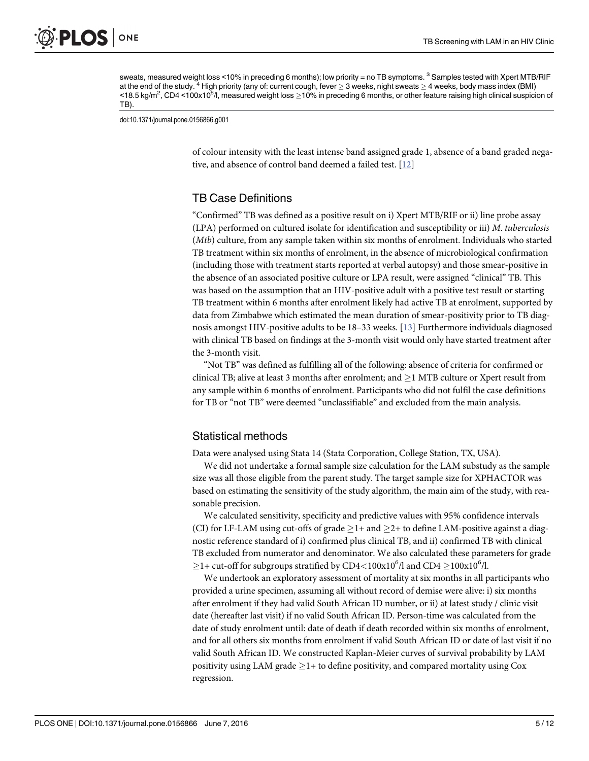<span id="page-4-0"></span>sweats, measured weight loss <10% in preceding 6 months); low priority = no TB symptoms. <sup>3</sup> Samples tested with Xpert MTB/RIF at the end of the study. <sup>4</sup> High priority (any of: current cough, fever  $\geq$  3 weeks, night sweats  $\geq$  4 weeks, body mass index (BMI) <18.5 kg/m<sup>2</sup>, CD4 <100x10<sup>6</sup>/l, measured weight loss ≥10% in preceding 6 months, or other feature raising high clinical suspicion of TB).

doi:10.1371/journal.pone.0156866.g001

of colour intensity with the least intense band assigned grade 1, absence of a band graded negative, and absence of control band deemed a failed test. [\[12\]](#page-11-0)

#### TB Case Definitions

"Confirmed" TB was defined as a positive result on i) Xpert MTB/RIF or ii) line probe assay (LPA) performed on cultured isolate for identification and susceptibility or iii) M. tuberculosis (Mtb) culture, from any sample taken within six months of enrolment. Individuals who started TB treatment within six months of enrolment, in the absence of microbiological confirmation (including those with treatment starts reported at verbal autopsy) and those smear-positive in the absence of an associated positive culture or LPA result, were assigned "clinical" TB. This was based on the assumption that an HIV-positive adult with a positive test result or starting TB treatment within 6 months after enrolment likely had active TB at enrolment, supported by data from Zimbabwe which estimated the mean duration of smear-positivity prior to TB diagnosis amongst HIV-positive adults to be 18–33 weeks. [\[13\]](#page-11-0) Furthermore individuals diagnosed with clinical TB based on findings at the 3-month visit would only have started treatment after the 3-month visit.

"Not TB" was defined as fulfilling all of the following: absence of criteria for confirmed or clinical TB; alive at least 3 months after enrolment; and  $>$ 1 MTB culture or Xpert result from any sample within 6 months of enrolment. Participants who did not fulfil the case definitions for TB or "not TB" were deemed "unclassifiable" and excluded from the main analysis.

#### Statistical methods

Data were analysed using Stata 14 (Stata Corporation, College Station, TX, USA).

We did not undertake a formal sample size calculation for the LAM substudy as the sample size was all those eligible from the parent study. The target sample size for XPHACTOR was based on estimating the sensitivity of the study algorithm, the main aim of the study, with reasonable precision.

We calculated sensitivity, specificity and predictive values with 95% confidence intervals (CI) for LF-LAM using cut-offs of grade  $\geq$ 1+ and  $\geq$ 2+ to define LAM-positive against a diagnostic reference standard of i) confirmed plus clinical TB, and ii) confirmed TB with clinical TB excluded from numerator and denominator. We also calculated these parameters for grade  $\geq$ 1+ cut-off for subgroups stratified by CD4<100x10<sup>6</sup>/l and CD4  $\geq$ 100x10<sup>6</sup>/l.

We undertook an exploratory assessment of mortality at six months in all participants who provided a urine specimen, assuming all without record of demise were alive: i) six months after enrolment if they had valid South African ID number, or ii) at latest study / clinic visit date (hereafter last visit) if no valid South African ID. Person-time was calculated from the date of study enrolment until: date of death if death recorded within six months of enrolment, and for all others six months from enrolment if valid South African ID or date of last visit if no valid South African ID. We constructed Kaplan-Meier curves of survival probability by LAM positivity using LAM grade  $\geq$  1+ to define positivity, and compared mortality using Cox regression.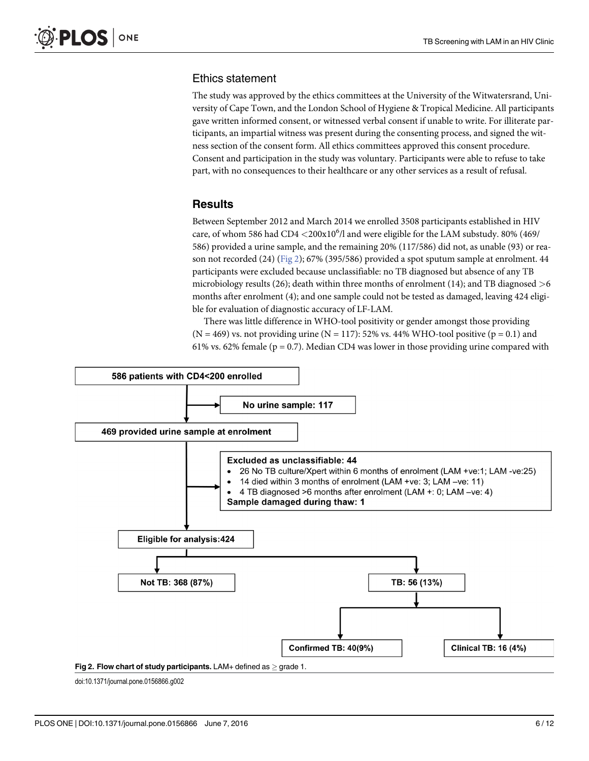#### Ethics statement

The study was approved by the ethics committees at the University of the Witwatersrand, University of Cape Town, and the London School of Hygiene & Tropical Medicine. All participants gave written informed consent, or witnessed verbal consent if unable to write. For illiterate participants, an impartial witness was present during the consenting process, and signed the witness section of the consent form. All ethics committees approved this consent procedure. Consent and participation in the study was voluntary. Participants were able to refuse to take part, with no consequences to their healthcare or any other services as a result of refusal.

#### Results

Between September 2012 and March 2014 we enrolled 3508 participants established in HIV care, of whom 586 had  $CD4 < 200x10^6/$ l and were eligible for the LAM substudy. 80% (469/ 586) provided a urine sample, and the remaining 20% (117/586) did not, as unable (93) or reason not recorded (24) (Fig 2); 67% (395/586) provided a spot sputum sample at enrolment. 44 participants were excluded because unclassifiable: no TB diagnosed but absence of any TB microbiology results (26); death within three months of enrolment (14); and TB diagnosed  $>6$ months after enrolment (4); and one sample could not be tested as damaged, leaving 424 eligible for evaluation of diagnostic accuracy of LF-LAM.

There was little difference in WHO-tool positivity or gender amongst those providing  $(N = 469)$  vs. not providing urine  $(N = 117)$ : 52% vs. 44% WHO-tool positive  $(p = 0.1)$  and 61% vs. 62% female ( $p = 0.7$ ). Median CD4 was lower in those providing urine compared with



doi:10.1371/journal.pone.0156866.g002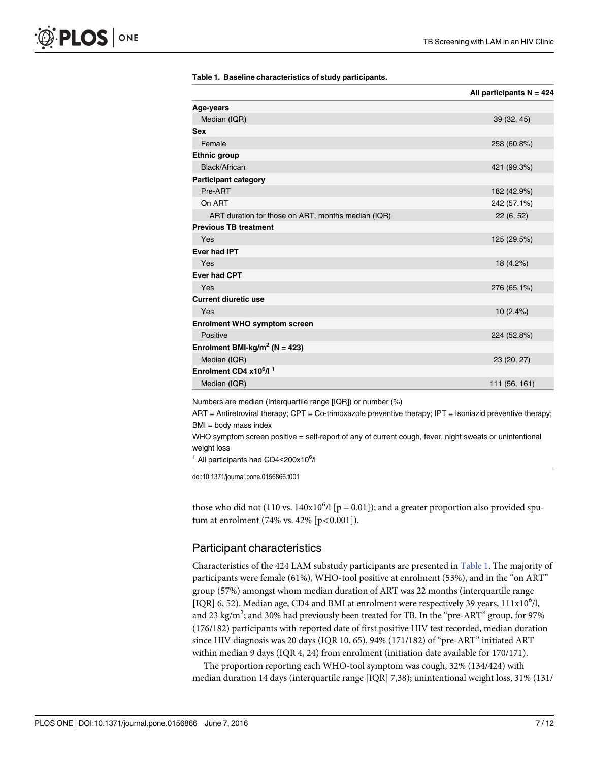|                                                    | All participants $N = 424$ |
|----------------------------------------------------|----------------------------|
| Age-years                                          |                            |
| Median (IQR)                                       | 39 (32, 45)                |
| <b>Sex</b>                                         |                            |
| Female                                             | 258 (60.8%)                |
| <b>Ethnic group</b>                                |                            |
| Black/African                                      | 421 (99.3%)                |
| <b>Participant category</b>                        |                            |
| Pre-ART                                            | 182 (42.9%)                |
| On ART                                             | 242 (57.1%)                |
| ART duration for those on ART, months median (IQR) | 22(6, 52)                  |
| <b>Previous TB treatment</b>                       |                            |
| Yes                                                | 125 (29.5%)                |
| Ever had IPT                                       |                            |
| Yes                                                | 18 (4.2%)                  |
| <b>Ever had CPT</b>                                |                            |
| Yes                                                | 276 (65.1%)                |
| <b>Current diuretic use</b>                        |                            |
| Yes                                                | 10(2.4%)                   |
| <b>Enrolment WHO symptom screen</b>                |                            |
| Positive                                           | 224 (52.8%)                |
| Enrolment BMI-kg/m <sup>2</sup> (N = 423)          |                            |
| Median (IQR)                                       | 23 (20, 27)                |
| Enrolment CD4 x10 <sup>6</sup> /l <sup>1</sup>     |                            |
| Median (IQR)                                       | 111 (56, 161)              |

#### Table 1. Baseline characteristics of study participants.

Numbers are median (Interquartile range [IQR]) or number (%)

 $ART$  = Antiretroviral therapy;  $CPT$  = Co-trimoxazole preventive therapy; IPT = Isoniazid preventive therapy;  $BMI = body$  mass index

WHO symptom screen positive = self-report of any of current cough, fever, night sweats or unintentional weight loss

 $1$  All participants had CD4<200x10 $6/$ 

doi:10.1371/journal.pone.0156866.t001

those who did not (110 vs.  $140x10<sup>6</sup>/l$  [p = 0.01]); and a greater proportion also provided sputum at enrolment (74% vs. 42% [ $p < 0.001$ ]).

#### Participant characteristics

Characteristics of the 424 LAM substudy participants are presented in Table 1. The majority of participants were female (61%), WHO-tool positive at enrolment (53%), and in the "on ART" group (57%) amongst whom median duration of ART was 22 months (interquartile range [IQR] 6, 52). Median age, CD4 and BMI at enrolment were respectively 39 years,  $111x10<sup>6</sup>/l$ , and 23 kg/m<sup>2</sup>; and 30% had previously been treated for TB. In the "pre-ART" group, for 97% (176/182) participants with reported date of first positive HIV test recorded, median duration since HIV diagnosis was 20 days (IQR 10, 65). 94% (171/182) of "pre-ART" initiated ART within median 9 days (IQR 4, 24) from enrolment (initiation date available for 170/171).

The proportion reporting each WHO-tool symptom was cough, 32% (134/424) with median duration 14 days (interquartile range [IQR] 7,38); unintentional weight loss, 31% (131/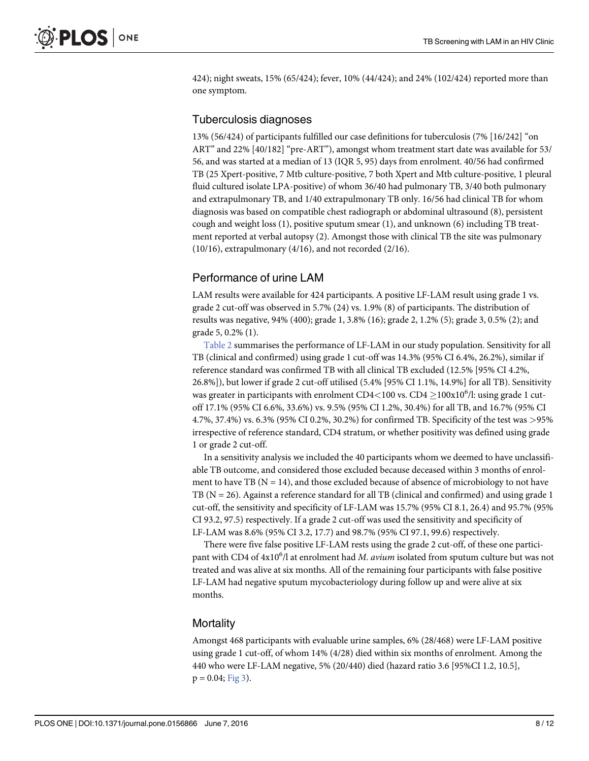<span id="page-7-0"></span>424); night sweats, 15% (65/424); fever, 10% (44/424); and 24% (102/424) reported more than one symptom.

#### Tuberculosis diagnoses

13% (56/424) of participants fulfilled our case definitions for tuberculosis (7% [16/242] "on ART" and 22% [40/182] "pre-ART"), amongst whom treatment start date was available for 53/ 56, and was started at a median of 13 (IQR 5, 95) days from enrolment. 40/56 had confirmed TB (25 Xpert-positive, 7 Mtb culture-positive, 7 both Xpert and Mtb culture-positive, 1 pleural fluid cultured isolate LPA-positive) of whom 36/40 had pulmonary TB, 3/40 both pulmonary and extrapulmonary TB, and 1/40 extrapulmonary TB only. 16/56 had clinical TB for whom diagnosis was based on compatible chest radiograph or abdominal ultrasound (8), persistent cough and weight loss (1), positive sputum smear (1), and unknown (6) including TB treatment reported at verbal autopsy (2). Amongst those with clinical TB the site was pulmonary (10/16), extrapulmonary (4/16), and not recorded (2/16).

#### Performance of urine LAM

LAM results were available for 424 participants. A positive LF-LAM result using grade 1 vs. grade 2 cut-off was observed in 5.7% (24) vs. 1.9% (8) of participants. The distribution of results was negative, 94% (400); grade 1, 3.8% (16); grade 2, 1.2% (5); grade 3, 0.5% (2); and grade 5, 0.2% (1).

[Table 2](#page-8-0) summarises the performance of LF-LAM in our study population. Sensitivity for all TB (clinical and confirmed) using grade 1 cut-off was 14.3% (95% CI 6.4%, 26.2%), similar if reference standard was confirmed TB with all clinical TB excluded (12.5% [95% CI 4.2%, 26.8%]), but lower if grade 2 cut-off utilised (5.4% [95% CI 1.1%, 14.9%] for all TB). Sensitivity was greater in participants with enrolment CD4<100 vs. CD4  $\geq$ 100x10<sup>6</sup>/l: using grade 1 cutoff 17.1% (95% CI 6.6%, 33.6%) vs. 9.5% (95% CI 1.2%, 30.4%) for all TB, and 16.7% (95% CI 4.7%, 37.4%) vs. 6.3% (95% CI 0.2%, 30.2%) for confirmed TB. Specificity of the test was >95% irrespective of reference standard, CD4 stratum, or whether positivity was defined using grade 1 or grade 2 cut-off.

In a sensitivity analysis we included the 40 participants whom we deemed to have unclassifiable TB outcome, and considered those excluded because deceased within 3 months of enrolment to have TB ( $N = 14$ ), and those excluded because of absence of microbiology to not have TB (N = 26). Against a reference standard for all TB (clinical and confirmed) and using grade 1 cut-off, the sensitivity and specificity of LF-LAM was 15.7% (95% CI 8.1, 26.4) and 95.7% (95% CI 93.2, 97.5) respectively. If a grade 2 cut-off was used the sensitivity and specificity of LF-LAM was 8.6% (95% CI 3.2, 17.7) and 98.7% (95% CI 97.1, 99.6) respectively.

There were five false positive LF-LAM rests using the grade 2 cut-off, of these one participant with CD4 of  $4x10^6$ /l at enrolment had M. *avium* isolated from sputum culture but was not treated and was alive at six months. All of the remaining four participants with false positive LF-LAM had negative sputum mycobacteriology during follow up and were alive at six months.

#### **Mortality**

Amongst 468 participants with evaluable urine samples, 6% (28/468) were LF-LAM positive using grade 1 cut-off, of whom 14% (4/28) died within six months of enrolment. Among the 440 who were LF-LAM negative, 5% (20/440) died (hazard ratio 3.6 [95%CI 1.2, 10.5],  $p = 0.04$ ; [Fig 3\)](#page-8-0).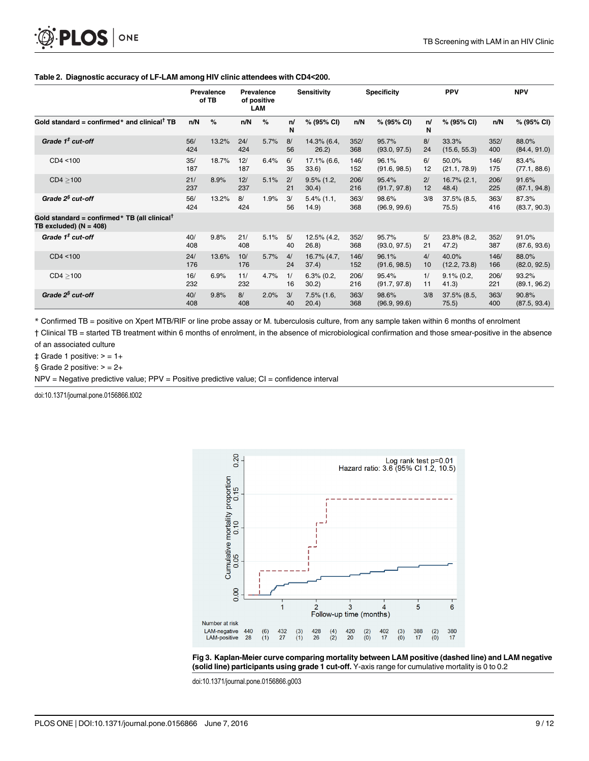#### [Table 2.](#page-7-0) Diagnostic accuracy of LF-LAM among HIV clinic attendees with CD4<200.

|                                                                                         | Prevalence<br><b>Prevalence</b><br>of TB<br>of positive<br>LAM |       |            | <b>Sensitivity</b> |          | <b>Specificity</b>     |             | <b>PPV</b>            |          | <b>NPV</b>              |             |                       |
|-----------------------------------------------------------------------------------------|----------------------------------------------------------------|-------|------------|--------------------|----------|------------------------|-------------|-----------------------|----------|-------------------------|-------------|-----------------------|
| Gold standard = confirmed* and clinical <sup>†</sup> TB                                 | n/N                                                            | $\%$  | n/N        | %                  | n/<br>N  | % (95% CI)             | n/N         | % (95% CI)            | n/<br>N  | % (95% CI)              | n/N         | % (95% CI)            |
| Grade $1‡$ cut-off                                                                      | 56/<br>424                                                     | 13.2% | 24/<br>424 | 5.7%               | 8/<br>56 | 14.3% (6.4,<br>26.2)   | 352/<br>368 | 95.7%<br>(93.0, 97.5) | 8/<br>24 | 33.3%<br>(15.6, 55.3)   | 352/<br>400 | 88.0%<br>(84.4, 91.0) |
| CD4 < 100                                                                               | 35/<br>187                                                     | 18.7% | 12/<br>187 | 6.4%               | 6/<br>35 | 17.1% (6.6,<br>33.6)   | 146/<br>152 | 96.1%<br>(91.6, 98.5) | 6/<br>12 | 50.0%<br>(21.1, 78.9)   | 146/<br>175 | 83.4%<br>(77.1, 88.6) |
| CD4 > 100                                                                               | 21/<br>237                                                     | 8.9%  | 12/<br>237 | 5.1%               | 2/<br>21 | $9.5\%$ (1.2,<br>30.4) | 206/<br>216 | 95.4%<br>(91.7, 97.8) | 2/<br>12 | $16.7\%$ (2.1,<br>48.4  | 206/<br>225 | 91.6%<br>(87.1, 94.8) |
| Grade 2 <sup>§</sup> cut-off                                                            | 56/<br>424                                                     | 13.2% | 8/<br>424  | 1.9%               | 3/<br>56 | $5.4\%$ (1.1,<br>14.9) | 363/<br>368 | 98.6%<br>(96.9, 99.6) | 3/8      | $37.5\%$ (8.5,<br>75.5) | 363/<br>416 | 87.3%<br>(83.7, 90.3) |
| Gold standard = confirmed * TB (all clinical <sup>†</sup><br>TB excluded) ( $N = 408$ ) |                                                                |       |            |                    |          |                        |             |                       |          |                         |             |                       |
| Grade $1‡$ cut-off                                                                      | 40/<br>408                                                     | 9.8%  | 21/<br>408 | 5.1%               | 5/<br>40 | 12.5% (4.2,<br>26.8)   | 352/<br>368 | 95.7%<br>(93.0, 97.5) | 5/<br>21 | 23.8% (8.2,<br>47.2)    | 352/<br>387 | 91.0%<br>(87.6, 93.6) |
| CD4 < 100                                                                               | 24/<br>176                                                     | 13.6% | 10/<br>176 | 5.7%               | 4/<br>24 | 16.7% (4.7,<br>37.4)   | 146/<br>152 | 96.1%<br>(91.6, 98.5) | 4/<br>10 | 40.0%<br>(12.2, 73.8)   | 146/<br>166 | 88.0%<br>(82.0, 92.5) |
| CD4 > 100                                                                               | 16/<br>232                                                     | 6.9%  | 11/<br>232 | 4.7%               | 1/<br>16 | $6.3\%$ (0.2,<br>30.2) | 206/<br>216 | 95.4%<br>(91.7, 97.8) | 1/<br>11 | $9.1\%$ (0.2,<br>41.3)  | 206/<br>221 | 93.2%<br>(89.1, 96.2) |
| Grade $2^{\$}$ cut-off                                                                  | 40/<br>408                                                     | 9.8%  | 8/<br>408  | 2.0%               | 3/<br>40 | $7.5\%$ (1.6,<br>20.4) | 363/<br>368 | 98.6%<br>(96.9, 99.6) | 3/8      | $37.5\%$ (8.5,<br>75.5) | 363/<br>400 | 90.8%<br>(87.5, 93.4) |

\* Confirmed TB = positive on Xpert MTB/RIF or line probe assay or M. tuberculosis culture, from any sample taken within 6 months of enrolment

† Clinical TB = started TB treatment within 6 months of enrolment, in the absence of microbiological confirmation and those smear-positive in the absence of an associated culture

 $\ddagger$  Grade 1 positive:  $>$  = 1+

§ Grade 2 positive:  $> = 2+$ 

NPV = Negative predictive value; PPV = Positive predictive value; CI = confidence interval

doi:10.1371/journal.pone.0156866.t002

<span id="page-8-0"></span>PLOS | ONE





doi:10.1371/journal.pone.0156866.g003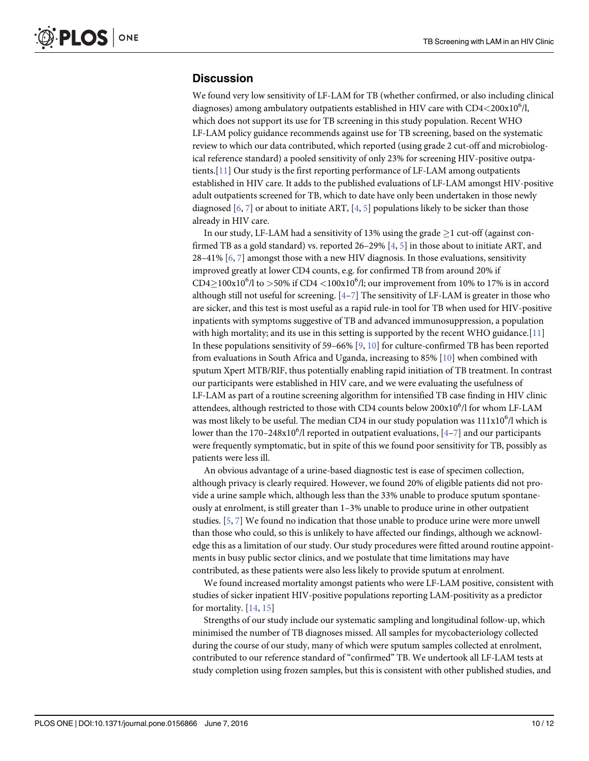#### <span id="page-9-0"></span>**Discussion**

We found very low sensitivity of LF-LAM for TB (whether confirmed, or also including clinical diagnoses) among ambulatory outpatients established in HIV care with  $CD4{<}200x10^6$ /l, which does not support its use for TB screening in this study population. Recent WHO LF-LAM policy guidance recommends against use for TB screening, based on the systematic review to which our data contributed, which reported (using grade 2 cut-off and microbiological reference standard) a pooled sensitivity of only 23% for screening HIV-positive outpatients.[[11](#page-11-0)] Our study is the first reporting performance of LF-LAM among outpatients established in HIV care. It adds to the published evaluations of LF-LAM amongst HIV-positive adult outpatients screened for TB, which to date have only been undertaken in those newly diagnosed [[6,](#page-10-0) [7\]](#page-10-0) or about to initiate ART, [\[4](#page-10-0), [5](#page-10-0)] populations likely to be sicker than those already in HIV care.

In our study, LF-LAM had a sensitivity of 13% using the grade  $\geq$ 1 cut-off (against confirmed TB as a gold standard) vs. reported 26–29% [\[4](#page-10-0), [5](#page-10-0)] in those about to initiate ART, and 28–41%  $[6, 7]$  $[6, 7]$  $[6, 7]$  $[6, 7]$  amongst those with a new HIV diagnosis. In those evaluations, sensitivity improved greatly at lower CD4 counts, e.g. for confirmed TB from around 20% if CD4 $\geq$ 100x10<sup>6</sup>/l to  $>$ 50% if CD4 <100x10<sup>6</sup>/l; our improvement from 10% to 17% is in accord although still not useful for screening.  $[4-7]$  $[4-7]$  $[4-7]$  $[4-7]$  The sensitivity of LF-LAM is greater in those who are sicker, and this test is most useful as a rapid rule-in tool for TB when used for HIV-positive inpatients with symptoms suggestive of TB and advanced immunosuppression, a population with high mortality; and its use in this setting is supported by the recent WHO guidance. [ $11$ ] In these populations sensitivity of 5[9](#page-10-0)–66%  $[9, 10]$  $[9, 10]$  $[9, 10]$  for culture-confirmed TB has been reported from evaluations in South Africa and Uganda, increasing to 85%  $[10]$  when combined with sputum Xpert MTB/RIF, thus potentially enabling rapid initiation of TB treatment. In contrast our participants were established in HIV care, and we were evaluating the usefulness of LF-LAM as part of a routine screening algorithm for intensified TB case finding in HIV clinic attendees, although restricted to those with CD4 counts below  $200x10^6$ /l for whom LF-LAM was most likely to be useful. The median CD4 in our study population was  $111x10<sup>6</sup>/l$  which is lower than the 170–2[4](#page-10-0)8x10<sup>6</sup>/l reported in outpatient evaluations, [4–[7](#page-10-0)] and our participants were frequently symptomatic, but in spite of this we found poor sensitivity for TB, possibly as patients were less ill.

An obvious advantage of a urine-based diagnostic test is ease of specimen collection, although privacy is clearly required. However, we found 20% of eligible patients did not provide a urine sample which, although less than the 33% unable to produce sputum spontaneously at enrolment, is still greater than 1–3% unable to produce urine in other outpatient studies. [\[5](#page-10-0), [7](#page-10-0)] We found no indication that those unable to produce urine were more unwell than those who could, so this is unlikely to have affected our findings, although we acknowledge this as a limitation of our study. Our study procedures were fitted around routine appointments in busy public sector clinics, and we postulate that time limitations may have contributed, as these patients were also less likely to provide sputum at enrolment.

We found increased mortality amongst patients who were LF-LAM positive, consistent with studies of sicker inpatient HIV-positive populations reporting LAM-positivity as a predictor for mortality.  $[14, 15]$  $[14, 15]$  $[14, 15]$  $[14, 15]$  $[14, 15]$ 

Strengths of our study include our systematic sampling and longitudinal follow-up, which minimised the number of TB diagnoses missed. All samples for mycobacteriology collected during the course of our study, many of which were sputum samples collected at enrolment, contributed to our reference standard of "confirmed" TB. We undertook all LF-LAM tests at study completion using frozen samples, but this is consistent with other published studies, and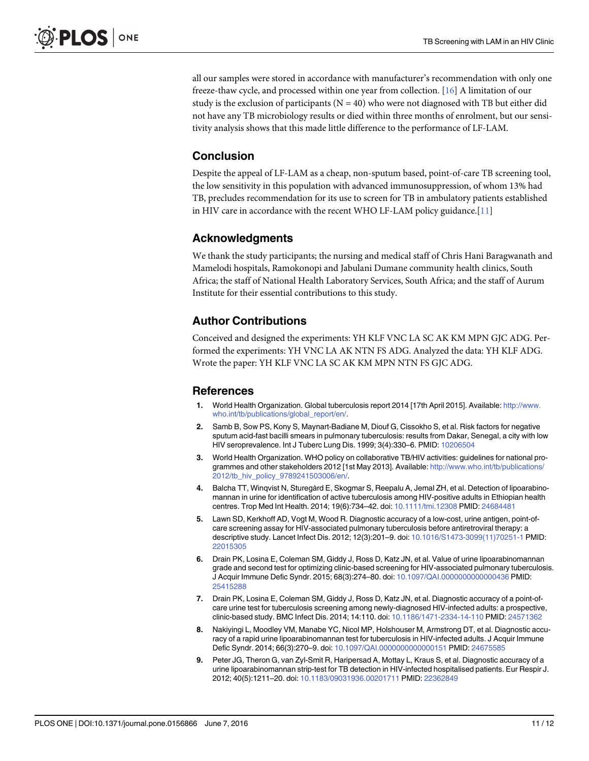<span id="page-10-0"></span>all our samples were stored in accordance with manufacturer's recommendation with only one freeze-thaw cycle, and processed within one year from collection. [[16](#page-11-0)] A limitation of our study is the exclusion of participants ( $N = 40$ ) who were not diagnosed with TB but either did not have any TB microbiology results or died within three months of enrolment, but our sensitivity analysis shows that this made little difference to the performance of LF-LAM.

### **Conclusion**

Despite the appeal of LF-LAM as a cheap, non-sputum based, point-of-care TB screening tool, the low sensitivity in this population with advanced immunosuppression, of whom 13% had TB, precludes recommendation for its use to screen for TB in ambulatory patients established in HIV care in accordance with the recent WHO LF-LAM policy guidance. $[11]$  $[11]$ 

#### Acknowledgments

We thank the study participants; the nursing and medical staff of Chris Hani Baragwanath and Mamelodi hospitals, Ramokonopi and Jabulani Dumane community health clinics, South Africa; the staff of National Health Laboratory Services, South Africa; and the staff of Aurum Institute for their essential contributions to this study.

#### Author Contributions

Conceived and designed the experiments: YH KLF VNC LA SC AK KM MPN GJC ADG. Performed the experiments: YH VNC LA AK NTN FS ADG. Analyzed the data: YH KLF ADG. Wrote the paper: YH KLF VNC LA SC AK KM MPN NTN FS GJC ADG.

#### References

- [1.](#page-1-0) World Health Organization. Global tuberculosis report 2014 [17th April 2015]. Available: [http://www.](http://www.who.int/tb/publications/global_report/en/) [who.int/tb/publications/global\\_report/en/.](http://www.who.int/tb/publications/global_report/en/)
- [2.](#page-1-0) Samb B, Sow PS, Kony S, Maynart-Badiane M, Diouf G, Cissokho S, et al. Risk factors for negative sputum acid-fast bacilli smears in pulmonary tuberculosis: results from Dakar, Senegal, a city with low HIV seroprevalence. Int J Tuberc Lung Dis. 1999; 3(4):330–6. PMID: [10206504](http://www.ncbi.nlm.nih.gov/pubmed/10206504)
- [3.](#page-1-0) World Health Organization. WHO policy on collaborative TB/HIV activities: guidelines for national programmes and other stakeholders 2012 [1st May 2013]. Available: [http://www.who.int/tb/publications/](http://www.who.int/tb/publications/2012/tb_hiv_policy_9789241503006/en/) [2012/tb\\_hiv\\_policy\\_9789241503006/en/](http://www.who.int/tb/publications/2012/tb_hiv_policy_9789241503006/en/).
- [4.](#page-1-0) Balcha TT, Winqvist N, Sturegård E, Skogmar S, Reepalu A, Jemal ZH, et al. Detection of lipoarabinomannan in urine for identification of active tuberculosis among HIV-positive adults in Ethiopian health centres. Trop Med Int Health. 2014; 19(6):734–42. doi: [10.1111/tmi.12308](http://dx.doi.org/10.1111/tmi.12308) PMID: [24684481](http://www.ncbi.nlm.nih.gov/pubmed/24684481)
- [5.](#page-1-0) Lawn SD, Kerkhoff AD, Vogt M, Wood R. Diagnostic accuracy of a low-cost, urine antigen, point-ofcare screening assay for HIV-associated pulmonary tuberculosis before antiretroviral therapy: a descriptive study. Lancet Infect Dis. 2012; 12(3):201–9. doi: [10.1016/S1473-3099\(11\)70251-1](http://dx.doi.org/10.1016/S1473-3099(11)70251-1) PMID: [22015305](http://www.ncbi.nlm.nih.gov/pubmed/22015305)
- [6.](#page-1-0) Drain PK, Losina E, Coleman SM, Giddy J, Ross D, Katz JN, et al. Value of urine lipoarabinomannan grade and second test for optimizing clinic-based screening for HIV-associated pulmonary tuberculosis. J Acquir Immune Defic Syndr. 2015; 68(3):274–80. doi: [10.1097/QAI.0000000000000436](http://dx.doi.org/10.1097/QAI.0000000000000436) PMID: [25415288](http://www.ncbi.nlm.nih.gov/pubmed/25415288)
- [7.](#page-1-0) Drain PK, Losina E, Coleman SM, Giddy J, Ross D, Katz JN, et al. Diagnostic accuracy of a point-ofcare urine test for tuberculosis screening among newly-diagnosed HIV-infected adults: a prospective, clinic-based study. BMC Infect Dis. 2014; 14:110. doi: [10.1186/1471-2334-14-110](http://dx.doi.org/10.1186/1471-2334-14-110) PMID: [24571362](http://www.ncbi.nlm.nih.gov/pubmed/24571362)
- [8.](#page-1-0) Nakiyingi L, Moodley VM, Manabe YC, Nicol MP, Holshouser M, Armstrong DT, et al. Diagnostic accuracy of a rapid urine lipoarabinomannan test for tuberculosis in HIV-infected adults. J Acquir Immune Defic Syndr. 2014; 66(3):270-9. doi: [10.1097/QAI.0000000000000151](http://dx.doi.org/10.1097/QAI.0000000000000151) PMID: [24675585](http://www.ncbi.nlm.nih.gov/pubmed/24675585)
- [9.](#page-9-0) Peter JG, Theron G, van Zyl-Smit R, Haripersad A, Mottay L, Kraus S, et al. Diagnostic accuracy of a urine lipoarabinomannan strip-test for TB detection in HIV-infected hospitalised patients. Eur Respir J. 2012; 40(5):1211–20. doi: [10.1183/09031936.00201711](http://dx.doi.org/10.1183/09031936.00201711) PMID: [22362849](http://www.ncbi.nlm.nih.gov/pubmed/22362849)